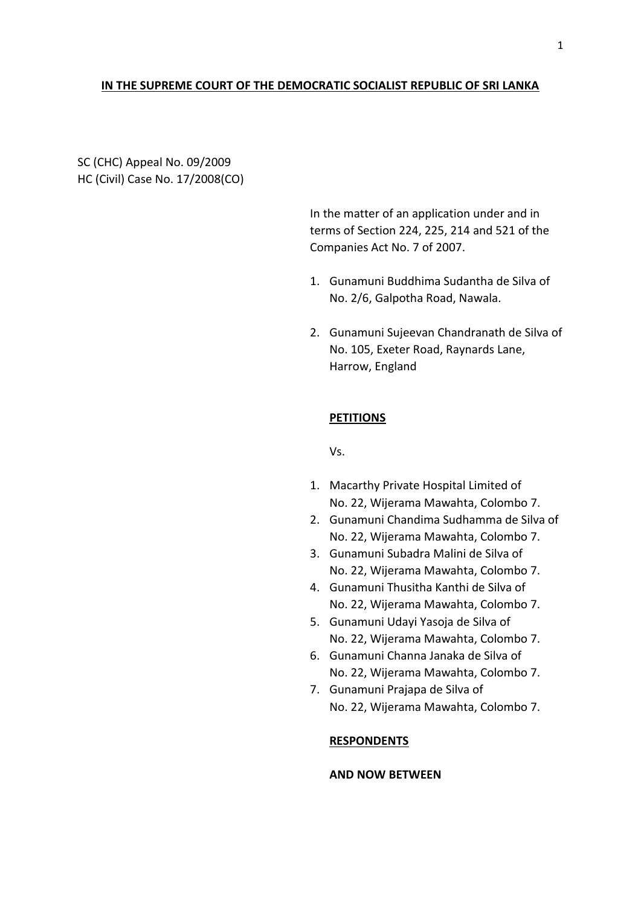### **IN THE SUPREME COURT OF THE DEMOCRATIC SOCIALIST REPUBLIC OF SRI LANKA**

SC (CHC) Appeal No. 09/2009 HC (Civil) Case No. 17/2008(CO)

> In the matter of an application under and in terms of Section 224, 225, 214 and 521 of the Companies Act No. 7 of 2007.

- 1. Gunamuni Buddhima Sudantha de Silva of No. 2/6, Galpotha Road, Nawala.
- 2. Gunamuni Sujeevan Chandranath de Silva of No. 105, Exeter Road, Raynards Lane, Harrow, England

# **PETITIONS**

Vs.

- 1. Macarthy Private Hospital Limited of No. 22, Wijerama Mawahta, Colombo 7.
- 2. Gunamuni Chandima Sudhamma de Silva of No. 22, Wijerama Mawahta, Colombo 7.
- 3. Gunamuni Subadra Malini de Silva of No. 22, Wijerama Mawahta, Colombo 7.
- 4. Gunamuni Thusitha Kanthi de Silva of No. 22, Wijerama Mawahta, Colombo 7.
- 5. Gunamuni Udayi Yasoja de Silva of No. 22, Wijerama Mawahta, Colombo 7.
- 6. Gunamuni Channa Janaka de Silva of No. 22, Wijerama Mawahta, Colombo 7.
- 7. Gunamuni Prajapa de Silva of No. 22, Wijerama Mawahta, Colombo 7.

# **RESPONDENTS**

## **AND NOW BETWEEN**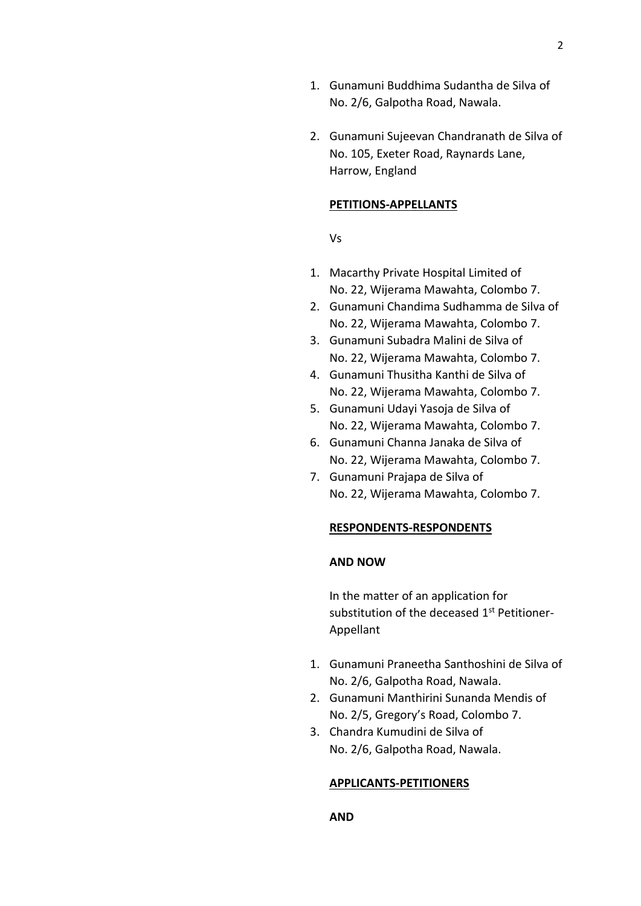- 1. Gunamuni Buddhima Sudantha de Silva of No. 2/6, Galpotha Road, Nawala.
- 2. Gunamuni Sujeevan Chandranath de Silva of No. 105, Exeter Road, Raynards Lane, Harrow, England

#### **PETITIONS-APPELLANTS**

Vs

- 1. Macarthy Private Hospital Limited of No. 22, Wijerama Mawahta, Colombo 7.
- 2. Gunamuni Chandima Sudhamma de Silva of No. 22, Wijerama Mawahta, Colombo 7.
- 3. Gunamuni Subadra Malini de Silva of No. 22, Wijerama Mawahta, Colombo 7.
- 4. Gunamuni Thusitha Kanthi de Silva of No. 22, Wijerama Mawahta, Colombo 7.
- 5. Gunamuni Udayi Yasoja de Silva of No. 22, Wijerama Mawahta, Colombo 7.
- 6. Gunamuni Channa Janaka de Silva of No. 22, Wijerama Mawahta, Colombo 7.
- 7. Gunamuni Prajapa de Silva of No. 22, Wijerama Mawahta, Colombo 7.

#### **RESPONDENTS-RESPONDENTS**

### **AND NOW**

In the matter of an application for substitution of the deceased 1<sup>st</sup> Petitioner-Appellant

- 1. Gunamuni Praneetha Santhoshini de Silva of No. 2/6, Galpotha Road, Nawala.
- 2. Gunamuni Manthirini Sunanda Mendis of No. 2/5, Gregory's Road, Colombo 7.
- 3. Chandra Kumudini de Silva of No. 2/6, Galpotha Road, Nawala.

#### **APPLICANTS-PETITIONERS**

### **AND**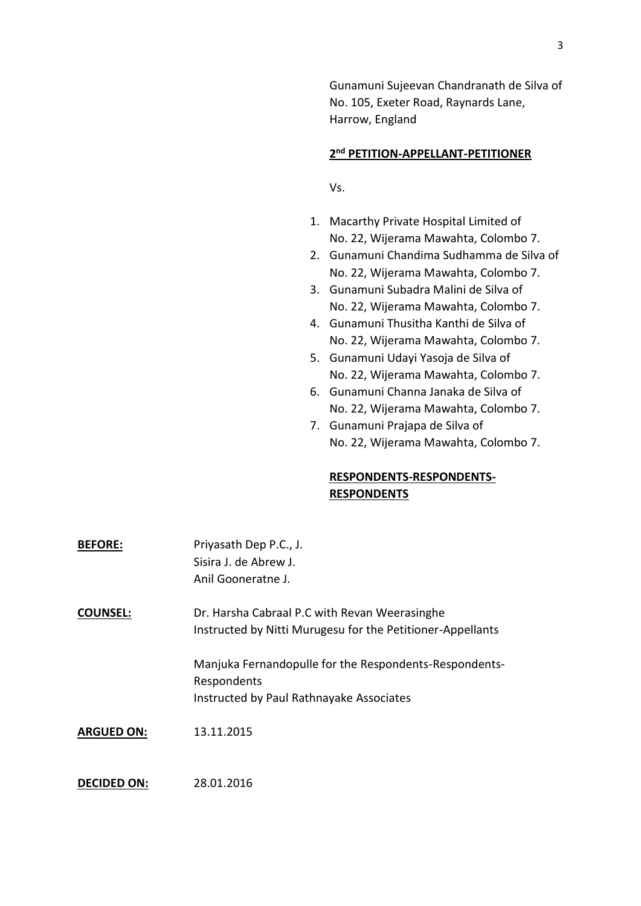Gunamuni Sujeevan Chandranath de Silva of No. 105, Exeter Road, Raynards Lane, Harrow, England

## **2 nd PETITION-APPELLANT-PETITIONER**

Vs.

- 1. Macarthy Private Hospital Limited of No. 22, Wijerama Mawahta, Colombo 7.
- 2. Gunamuni Chandima Sudhamma de Silva of No. 22, Wijerama Mawahta, Colombo 7.
- 3. Gunamuni Subadra Malini de Silva of No. 22, Wijerama Mawahta, Colombo 7.
- 4. Gunamuni Thusitha Kanthi de Silva of No. 22, Wijerama Mawahta, Colombo 7.
- 5. Gunamuni Udayi Yasoja de Silva of No. 22, Wijerama Mawahta, Colombo 7.
- 6. Gunamuni Channa Janaka de Silva of No. 22, Wijerama Mawahta, Colombo 7.
- 7. Gunamuni Prajapa de Silva of No. 22, Wijerama Mawahta, Colombo 7.

# **RESPONDENTS-RESPONDENTS-RESPONDENTS**

| <b>BEFORE:</b>     | Priyasath Dep P.C., J.<br>Sisira J. de Abrew J.<br>Anil Gooneratne J.                                             |
|--------------------|-------------------------------------------------------------------------------------------------------------------|
| <b>COUNSEL:</b>    | Dr. Harsha Cabraal P.C with Revan Weerasinghe<br>Instructed by Nitti Murugesu for the Petitioner-Appellants       |
|                    | Manjuka Fernandopulle for the Respondents-Respondents-<br>Respondents<br>Instructed by Paul Rathnayake Associates |
| <b>ARGUED ON:</b>  | 13.11.2015                                                                                                        |
| <b>DECIDED ON:</b> | 28.01.2016                                                                                                        |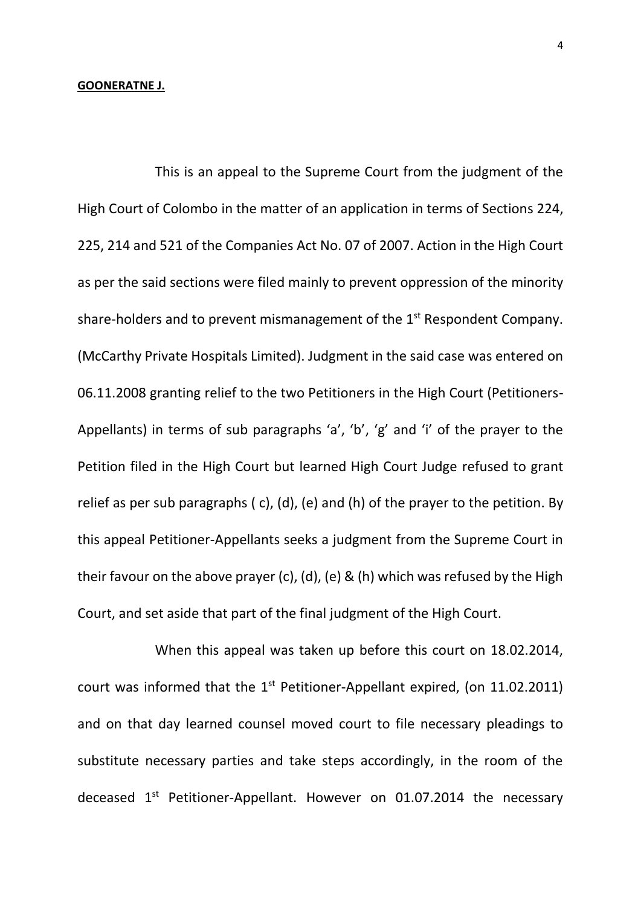### **GOONERATNE J.**

This is an appeal to the Supreme Court from the judgment of the High Court of Colombo in the matter of an application in terms of Sections 224, 225, 214 and 521 of the Companies Act No. 07 of 2007. Action in the High Court as per the said sections were filed mainly to prevent oppression of the minority share-holders and to prevent mismanagement of the 1<sup>st</sup> Respondent Company. (McCarthy Private Hospitals Limited). Judgment in the said case was entered on 06.11.2008 granting relief to the two Petitioners in the High Court (Petitioners-Appellants) in terms of sub paragraphs 'a', 'b', 'g' and 'i' of the prayer to the Petition filed in the High Court but learned High Court Judge refused to grant relief as per sub paragraphs ( c), (d), (e) and (h) of the prayer to the petition. By this appeal Petitioner-Appellants seeks a judgment from the Supreme Court in their favour on the above prayer (c), (d), (e) & (h) which was refused by the High Court, and set aside that part of the final judgment of the High Court.

When this appeal was taken up before this court on 18.02.2014, court was informed that the  $1<sup>st</sup>$  Petitioner-Appellant expired, (on 11.02.2011) and on that day learned counsel moved court to file necessary pleadings to substitute necessary parties and take steps accordingly, in the room of the deceased  $1<sup>st</sup>$  Petitioner-Appellant. However on 01.07.2014 the necessary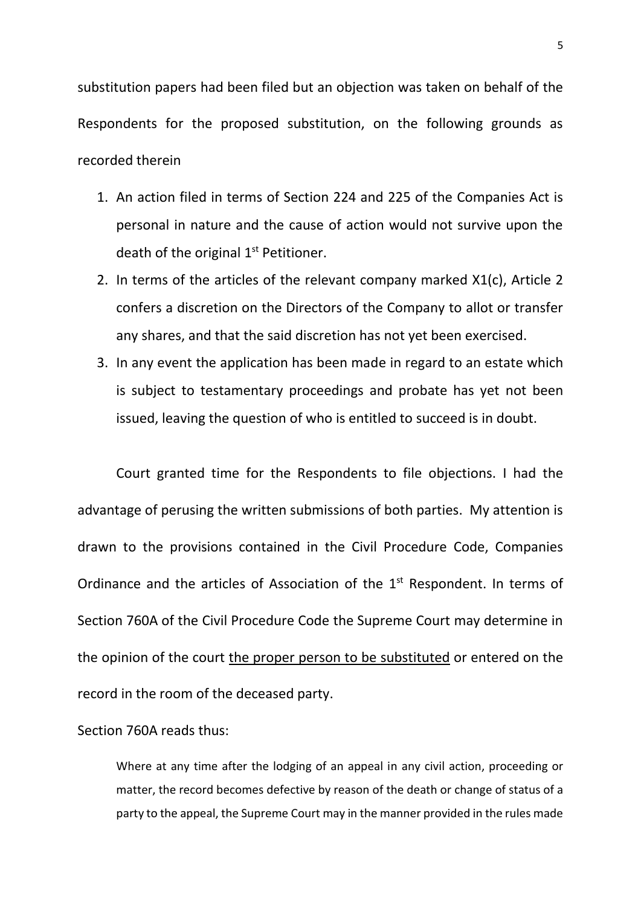substitution papers had been filed but an objection was taken on behalf of the Respondents for the proposed substitution, on the following grounds as recorded therein

- 1. An action filed in terms of Section 224 and 225 of the Companies Act is personal in nature and the cause of action would not survive upon the death of the original 1<sup>st</sup> Petitioner.
- 2. In terms of the articles of the relevant company marked X1(c), Article 2 confers a discretion on the Directors of the Company to allot or transfer any shares, and that the said discretion has not yet been exercised.
- 3. In any event the application has been made in regard to an estate which is subject to testamentary proceedings and probate has yet not been issued, leaving the question of who is entitled to succeed is in doubt.

Court granted time for the Respondents to file objections. I had the advantage of perusing the written submissions of both parties. My attention is drawn to the provisions contained in the Civil Procedure Code, Companies Ordinance and the articles of Association of the  $1<sup>st</sup>$  Respondent. In terms of Section 760A of the Civil Procedure Code the Supreme Court may determine in the opinion of the court the proper person to be substituted or entered on the record in the room of the deceased party.

# Section 760A reads thus:

Where at any time after the lodging of an appeal in any civil action, proceeding or matter, the record becomes defective by reason of the death or change of status of a party to the appeal, the Supreme Court may in the manner provided in the rules made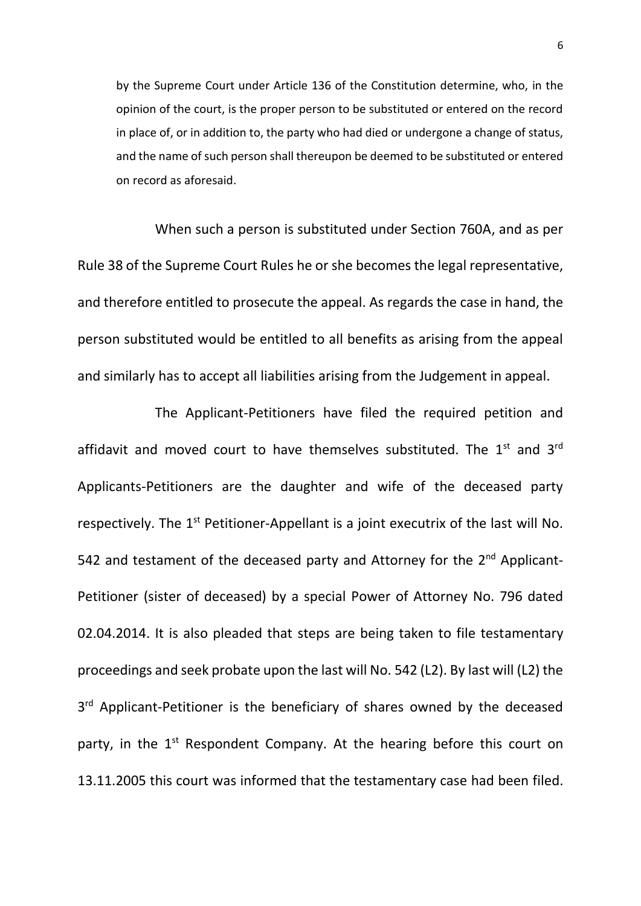by the Supreme Court under Article 136 of the Constitution determine, who, in the opinion of the court, is the proper person to be substituted or entered on the record in place of, or in addition to, the party who had died or undergone a change of status, and the name of such person shall thereupon be deemed to be substituted or entered on record as aforesaid.

When such a person is substituted under Section 760A, and as per Rule 38 of the Supreme Court Rules he or she becomes the legal representative, and therefore entitled to prosecute the appeal. As regards the case in hand, the person substituted would be entitled to all benefits as arising from the appeal and similarly has to accept all liabilities arising from the Judgement in appeal.

The Applicant-Petitioners have filed the required petition and affidavit and moved court to have themselves substituted. The  $1<sup>st</sup>$  and  $3<sup>rd</sup>$ Applicants-Petitioners are the daughter and wife of the deceased party respectively. The  $1<sup>st</sup>$  Petitioner-Appellant is a joint executrix of the last will No. 542 and testament of the deceased party and Attorney for the 2<sup>nd</sup> Applicant-Petitioner (sister of deceased) by a special Power of Attorney No. 796 dated 02.04.2014. It is also pleaded that steps are being taken to file testamentary proceedings and seek probate upon the last will No. 542 (L2). By last will (L2) the 3<sup>rd</sup> Applicant-Petitioner is the beneficiary of shares owned by the deceased party, in the 1<sup>st</sup> Respondent Company. At the hearing before this court on 13.11.2005 this court was informed that the testamentary case had been filed.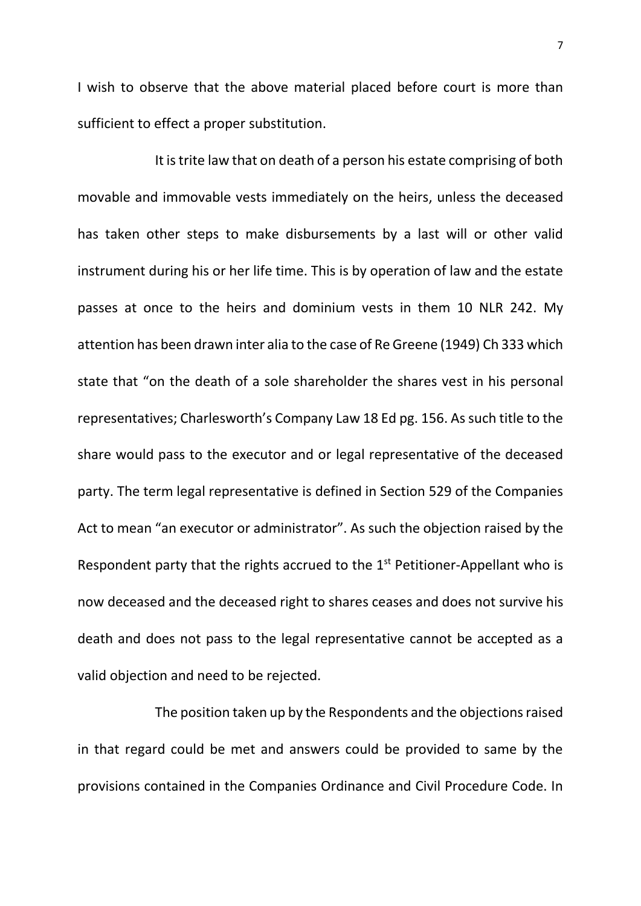I wish to observe that the above material placed before court is more than sufficient to effect a proper substitution.

It is trite law that on death of a person his estate comprising of both movable and immovable vests immediately on the heirs, unless the deceased has taken other steps to make disbursements by a last will or other valid instrument during his or her life time. This is by operation of law and the estate passes at once to the heirs and dominium vests in them 10 NLR 242. My attention has been drawn inter alia to the case of Re Greene (1949) Ch 333 which state that "on the death of a sole shareholder the shares vest in his personal representatives; Charlesworth's Company Law 18 Ed pg. 156. As such title to the share would pass to the executor and or legal representative of the deceased party. The term legal representative is defined in Section 529 of the Companies Act to mean "an executor or administrator". As such the objection raised by the Respondent party that the rights accrued to the 1<sup>st</sup> Petitioner-Appellant who is now deceased and the deceased right to shares ceases and does not survive his death and does not pass to the legal representative cannot be accepted as a valid objection and need to be rejected.

The position taken up by the Respondents and the objections raised in that regard could be met and answers could be provided to same by the provisions contained in the Companies Ordinance and Civil Procedure Code. In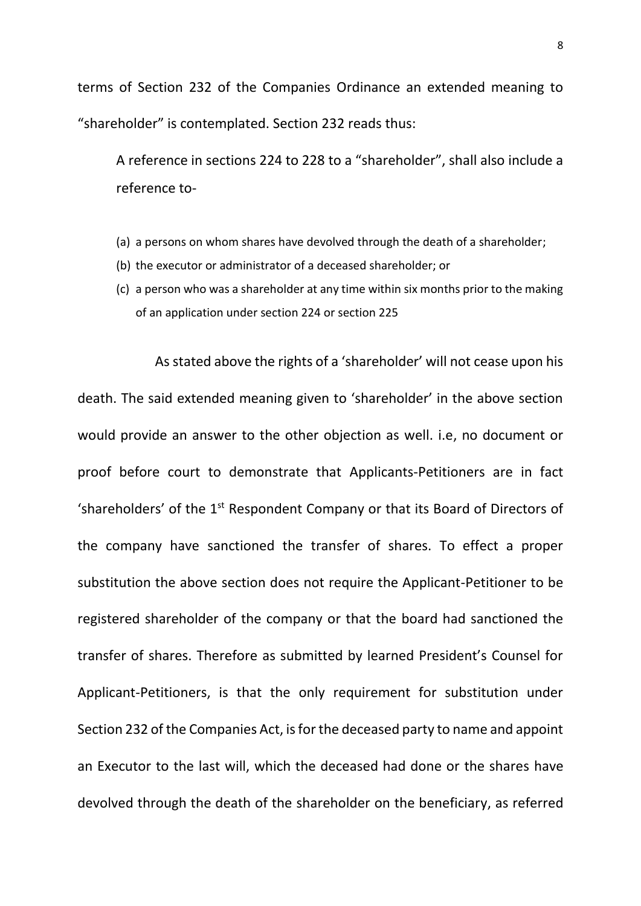terms of Section 232 of the Companies Ordinance an extended meaning to "shareholder" is contemplated. Section 232 reads thus:

A reference in sections 224 to 228 to a "shareholder", shall also include a reference to-

- (a) a persons on whom shares have devolved through the death of a shareholder;
- (b) the executor or administrator of a deceased shareholder; or
- (c) a person who was a shareholder at any time within six months prior to the making of an application under section 224 or section 225

As stated above the rights of a 'shareholder' will not cease upon his death. The said extended meaning given to 'shareholder' in the above section would provide an answer to the other objection as well. i.e, no document or proof before court to demonstrate that Applicants-Petitioners are in fact 'shareholders' of the  $1<sup>st</sup>$  Respondent Company or that its Board of Directors of the company have sanctioned the transfer of shares. To effect a proper substitution the above section does not require the Applicant-Petitioner to be registered shareholder of the company or that the board had sanctioned the transfer of shares. Therefore as submitted by learned President's Counsel for Applicant-Petitioners, is that the only requirement for substitution under Section 232 of the Companies Act, is for the deceased party to name and appoint an Executor to the last will, which the deceased had done or the shares have devolved through the death of the shareholder on the beneficiary, as referred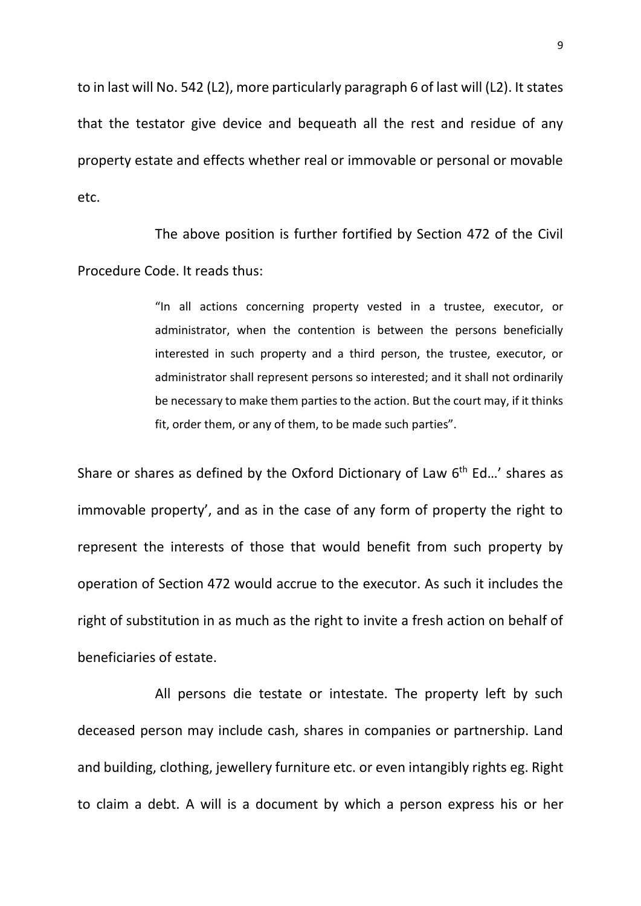to in last will No. 542 (L2), more particularly paragraph 6 of last will (L2). It states that the testator give device and bequeath all the rest and residue of any property estate and effects whether real or immovable or personal or movable etc.

The above position is further fortified by Section 472 of the Civil Procedure Code. It reads thus:

> "In all actions concerning property vested in a trustee, executor, or administrator, when the contention is between the persons beneficially interested in such property and a third person, the trustee, executor, or administrator shall represent persons so interested; and it shall not ordinarily be necessary to make them parties to the action. But the court may, if it thinks fit, order them, or any of them, to be made such parties".

Share or shares as defined by the Oxford Dictionary of Law  $6<sup>th</sup>$  Ed...' shares as immovable property', and as in the case of any form of property the right to represent the interests of those that would benefit from such property by operation of Section 472 would accrue to the executor. As such it includes the right of substitution in as much as the right to invite a fresh action on behalf of beneficiaries of estate.

All persons die testate or intestate. The property left by such deceased person may include cash, shares in companies or partnership. Land and building, clothing, jewellery furniture etc. or even intangibly rights eg. Right to claim a debt. A will is a document by which a person express his or her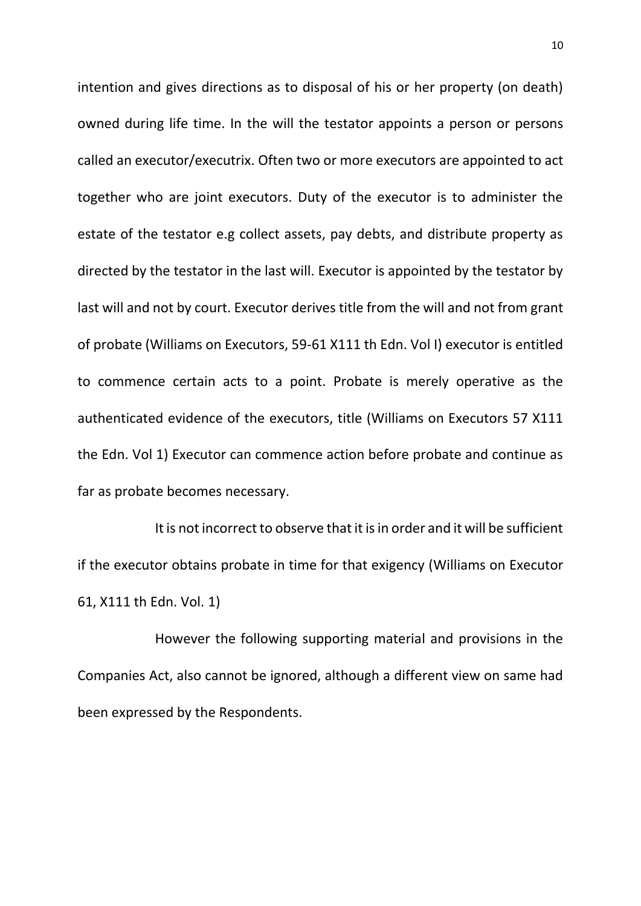intention and gives directions as to disposal of his or her property (on death) owned during life time. In the will the testator appoints a person or persons called an executor/executrix. Often two or more executors are appointed to act together who are joint executors. Duty of the executor is to administer the estate of the testator e.g collect assets, pay debts, and distribute property as directed by the testator in the last will. Executor is appointed by the testator by last will and not by court. Executor derives title from the will and not from grant of probate (Williams on Executors, 59-61 X111 th Edn. Vol I) executor is entitled to commence certain acts to a point. Probate is merely operative as the authenticated evidence of the executors, title (Williams on Executors 57 X111 the Edn. Vol 1) Executor can commence action before probate and continue as far as probate becomes necessary.

It is not incorrect to observe that it is in order and it will be sufficient if the executor obtains probate in time for that exigency (Williams on Executor 61, X111 th Edn. Vol. 1)

However the following supporting material and provisions in the Companies Act, also cannot be ignored, although a different view on same had been expressed by the Respondents.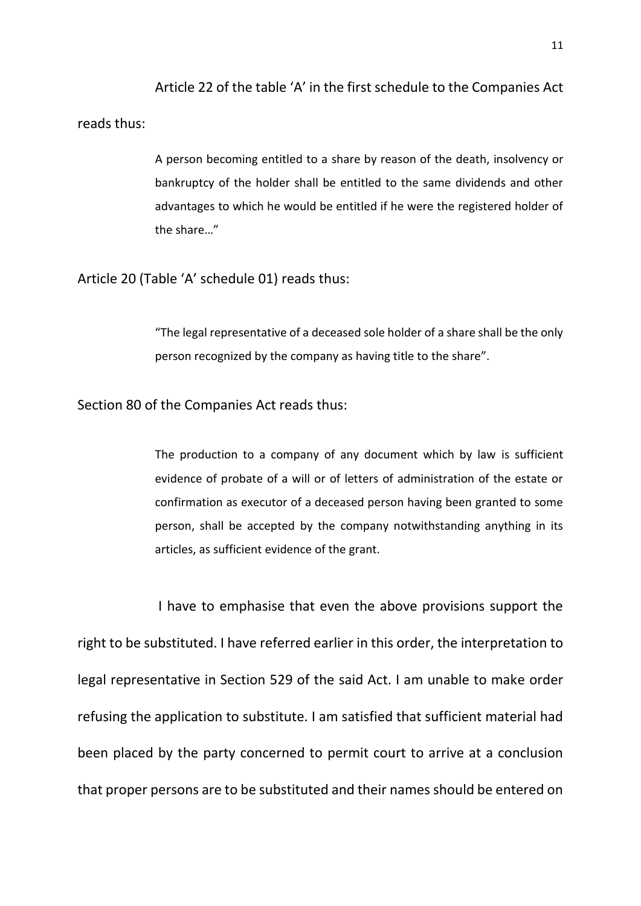Article 22 of the table 'A' in the first schedule to the Companies Act reads thus:

> A person becoming entitled to a share by reason of the death, insolvency or bankruptcy of the holder shall be entitled to the same dividends and other advantages to which he would be entitled if he were the registered holder of the share…"

Article 20 (Table 'A' schedule 01) reads thus:

"The legal representative of a deceased sole holder of a share shall be the only person recognized by the company as having title to the share".

Section 80 of the Companies Act reads thus:

The production to a company of any document which by law is sufficient evidence of probate of a will or of letters of administration of the estate or confirmation as executor of a deceased person having been granted to some person, shall be accepted by the company notwithstanding anything in its articles, as sufficient evidence of the grant.

I have to emphasise that even the above provisions support the right to be substituted. I have referred earlier in this order, the interpretation to legal representative in Section 529 of the said Act. I am unable to make order refusing the application to substitute. I am satisfied that sufficient material had been placed by the party concerned to permit court to arrive at a conclusion that proper persons are to be substituted and their names should be entered on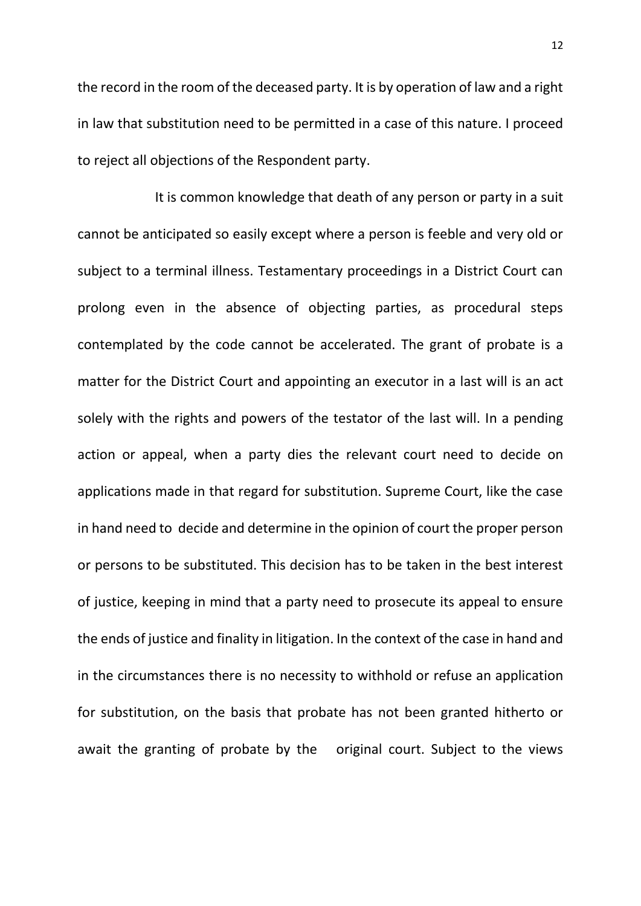the record in the room of the deceased party. It is by operation of law and a right in law that substitution need to be permitted in a case of this nature. I proceed to reject all objections of the Respondent party.

It is common knowledge that death of any person or party in a suit cannot be anticipated so easily except where a person is feeble and very old or subject to a terminal illness. Testamentary proceedings in a District Court can prolong even in the absence of objecting parties, as procedural steps contemplated by the code cannot be accelerated. The grant of probate is a matter for the District Court and appointing an executor in a last will is an act solely with the rights and powers of the testator of the last will. In a pending action or appeal, when a party dies the relevant court need to decide on applications made in that regard for substitution. Supreme Court, like the case in hand need to decide and determine in the opinion of court the proper person or persons to be substituted. This decision has to be taken in the best interest of justice, keeping in mind that a party need to prosecute its appeal to ensure the ends of justice and finality in litigation. In the context of the case in hand and in the circumstances there is no necessity to withhold or refuse an application for substitution, on the basis that probate has not been granted hitherto or await the granting of probate by the original court. Subject to the views